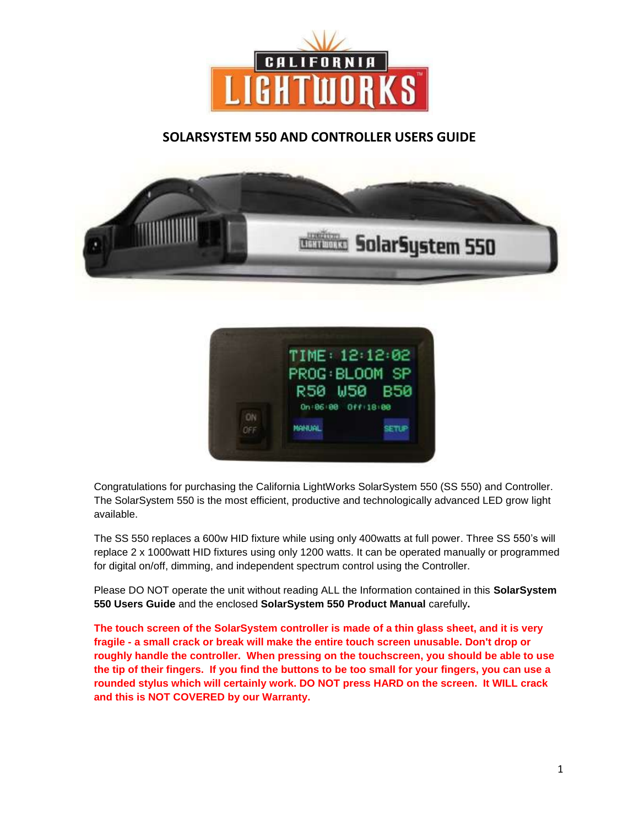

# **SOLARSYSTEM 550 AND CONTROLLER USERS GUIDE**





Congratulations for purchasing the California LightWorks SolarSystem 550 (SS 550) and Controller. The SolarSystem 550 is the most efficient, productive and technologically advanced LED grow light available.

The SS 550 replaces a 600w HID fixture while using only 400watts at full power. Three SS 550's will replace 2 x 1000watt HID fixtures using only 1200 watts. It can be operated manually or programmed for digital on/off, dimming, and independent spectrum control using the Controller.

Please DO NOT operate the unit without reading ALL the Information contained in this **SolarSystem 550 Users Guide** and the enclosed **SolarSystem 550 Product Manual** carefully**.**

**The touch screen of the SolarSystem controller is made of a thin glass sheet, and it is very fragile - a small crack or break will make the entire touch screen unusable. Don't drop or roughly handle the controller. When pressing on the touchscreen, you should be able to use the tip of their fingers. If you find the buttons to be too small for your fingers, you can use a rounded stylus which will certainly work. DO NOT press HARD on the screen. It WILL crack and this is NOT COVERED by our Warranty.**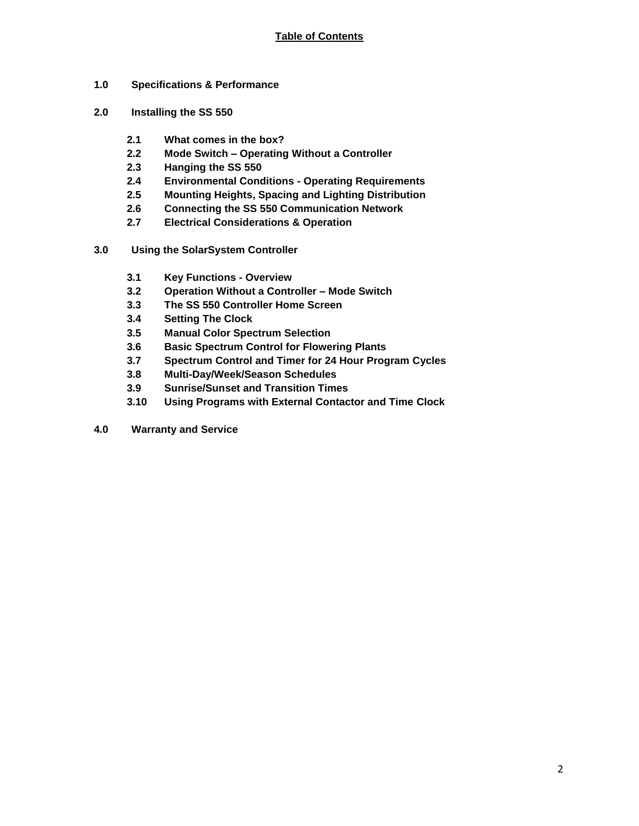- **1.0 Specifications & Performance**
- **2.0 Installing the SS 550**
	- **2.1 What comes in the box?**
	- **2.2 Mode Switch – Operating Without a Controller**
	- **2.3 Hanging the SS 550**
	- **2.4 Environmental Conditions - Operating Requirements**
	- **2.5 Mounting Heights, Spacing and Lighting Distribution**
	- **2.6 Connecting the SS 550 Communication Network**
	- **2.7 Electrical Considerations & Operation**
- **3.0 Using the SolarSystem Controller**
	- **3.1 Key Functions - Overview**
	- **3.2 Operation Without a Controller – Mode Switch**
	- **3.3 The SS 550 Controller Home Screen**
	- **3.4 Setting The Clock**
	- **3.5 Manual Color Spectrum Selection**
	- **3.6 Basic Spectrum Control for Flowering Plants**
	- **3.7 Spectrum Control and Timer for 24 Hour Program Cycles**
	- **3.8 Multi-Day/Week/Season Schedules**
	- **3.9 Sunrise/Sunset and Transition Times**
	- **3.10 Using Programs with External Contactor and Time Clock**
- **4.0 Warranty and Service**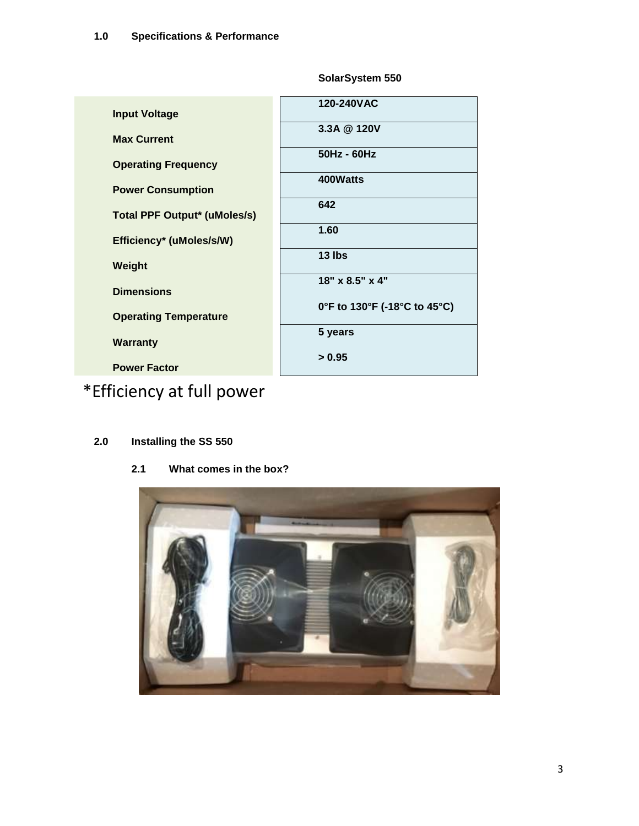| <b>Input Voltage</b>                | 120-240VAC                   |  |  |
|-------------------------------------|------------------------------|--|--|
| <b>Max Current</b>                  | 3.3A @ 120V                  |  |  |
| <b>Operating Frequency</b>          | 50Hz - 60Hz                  |  |  |
| <b>Power Consumption</b>            | 400Watts                     |  |  |
| <b>Total PPF Output* (uMoles/s)</b> | 642                          |  |  |
|                                     | 1.60                         |  |  |
| Efficiency* (uMoles/s/W)            | 13 lbs                       |  |  |
| Weight                              | 18" x 8.5" x 4"              |  |  |
| <b>Dimensions</b>                   | 0°F to 130°F (-18°C to 45°C) |  |  |
| <b>Operating Temperature</b>        |                              |  |  |
| <b>Warranty</b>                     | 5 years                      |  |  |
| <b>Power Factor</b>                 | > 0.95                       |  |  |

**SolarSystem 550**

# \*Efficiency at full power

# **2.0 Installing the SS 550**

**2.1 What comes in the box?**

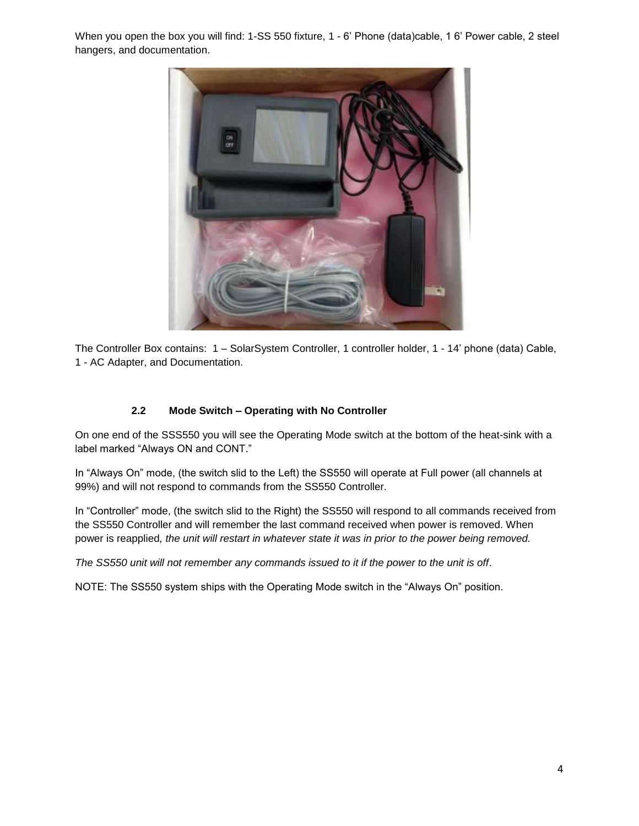When you open the box you will find: 1-SS 550 fixture, 1 - 6' Phone (data)cable, 1 6' Power cable, 2 steel hangers, and documentation.



The Controller Box contains: 1 – SolarSystem Controller, 1 controller holder, 1 - 14' phone (data) Cable, 1 - AC Adapter, and Documentation.

#### **2.2 Mode Switch – Operating with No Controller**

On one end of the SSS550 you will see the Operating Mode switch at the bottom of the heat-sink with a label marked "Always ON and CONT."

In "Always On" mode, (the switch slid to the Left) the SS550 will operate at Full power (all channels at 99%) and will not respond to commands from the SS550 Controller.

In "Controller" mode, (the switch slid to the Right) the SS550 will respond to all commands received from the SS550 Controller and will remember the last command received when power is removed. When power is reapplied*, the unit will restart in whatever state it was in prior to the power being removed.*

*The SS550 unit will not remember any commands issued to it if the power to the unit is off*.

NOTE: The SS550 system ships with the Operating Mode switch in the "Always On" position.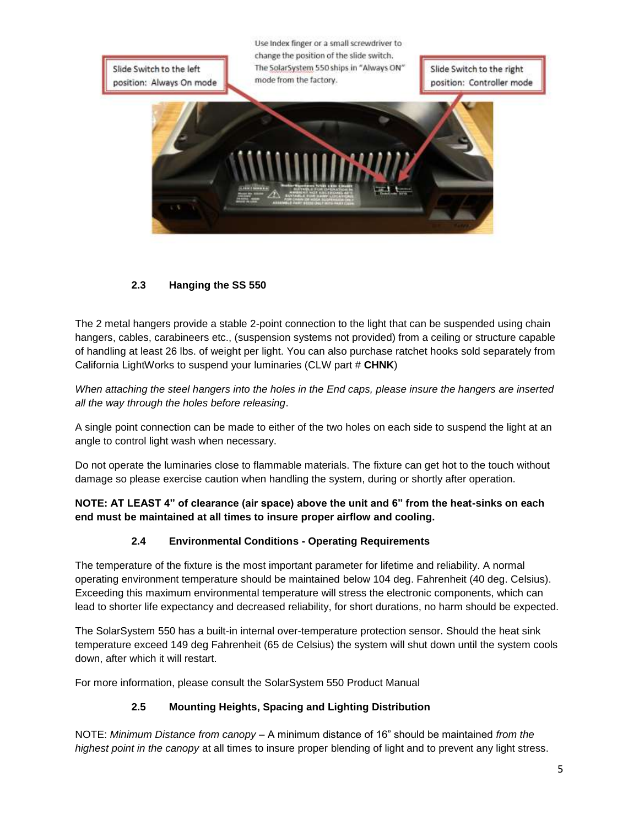Use Index finger or a small screwdriver to change the position of the slide switch. The SolarSystem 550 ships in "Always ON" Slide Switch to the left Slide Switch to the right mode from the factory. position: Controller mode position: Always On mode



# **2.3 Hanging the SS 550**

The 2 metal hangers provide a stable 2-point connection to the light that can be suspended using chain hangers, cables, carabineers etc., (suspension systems not provided) from a ceiling or structure capable of handling at least 26 lbs. of weight per light. You can also purchase ratchet hooks sold separately from California LightWorks to suspend your luminaries (CLW part # **CHNK**)

*When attaching the steel hangers into the holes in the End caps, please insure the hangers are inserted all the way through the holes before releasing*.

A single point connection can be made to either of the two holes on each side to suspend the light at an angle to control light wash when necessary.

Do not operate the luminaries close to flammable materials. The fixture can get hot to the touch without damage so please exercise caution when handling the system, during or shortly after operation.

**NOTE: AT LEAST 4" of clearance (air space) above the unit and 6" from the heat-sinks on each end must be maintained at all times to insure proper airflow and cooling.**

#### **2.4 Environmental Conditions - Operating Requirements**

The temperature of the fixture is the most important parameter for lifetime and reliability. A normal operating environment temperature should be maintained below 104 deg. Fahrenheit (40 deg. Celsius). Exceeding this maximum environmental temperature will stress the electronic components, which can lead to shorter life expectancy and decreased reliability, for short durations, no harm should be expected.

The SolarSystem 550 has a built-in internal over-temperature protection sensor. Should the heat sink temperature exceed 149 deg Fahrenheit (65 de Celsius) the system will shut down until the system cools down, after which it will restart.

For more information, please consult the SolarSystem 550 Product Manual

# **2.5 Mounting Heights, Spacing and Lighting Distribution**

NOTE: *Minimum Distance from canopy* – A minimum distance of 16" should be maintained *from the highest point in the canopy* at all times to insure proper blending of light and to prevent any light stress.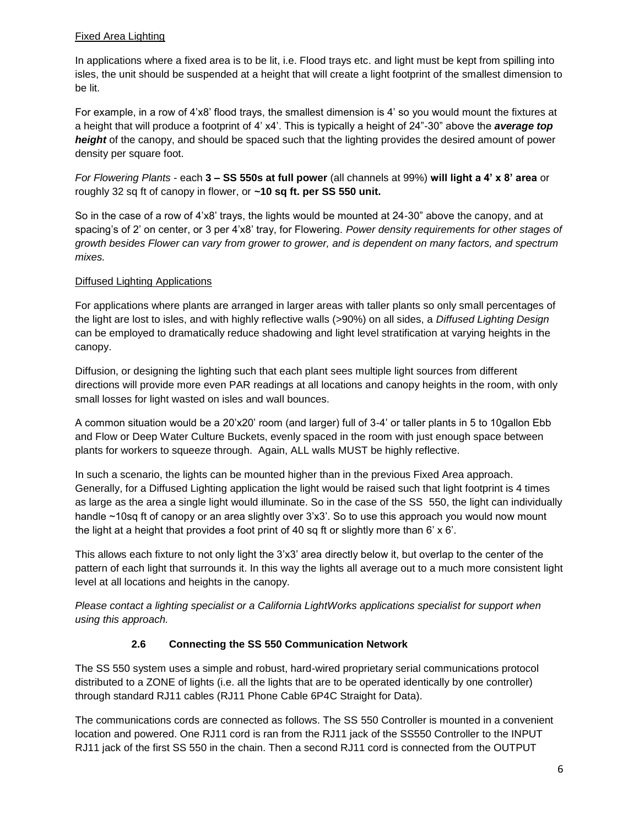## Fixed Area Lighting

In applications where a fixed area is to be lit, i.e. Flood trays etc. and light must be kept from spilling into isles, the unit should be suspended at a height that will create a light footprint of the smallest dimension to be lit.

For example, in a row of 4'x8' flood trays, the smallest dimension is 4' so you would mount the fixtures at a height that will produce a footprint of 4' x4'. This is typically a height of 24"-30" above the *average top height* of the canopy, and should be spaced such that the lighting provides the desired amount of power density per square foot.

*For Flowering Plants* - each **3 – SS 550s at full power** (all channels at 99%) **will light a 4' x 8' area** or roughly 32 sq ft of canopy in flower, or **~10 sq ft. per SS 550 unit.**

So in the case of a row of 4'x8' trays, the lights would be mounted at 24-30" above the canopy, and at spacing's of 2' on center, or 3 per 4'x8' tray, for Flowering. *Power density requirements for other stages of growth besides Flower can vary from grower to grower, and is dependent on many factors, and spectrum mixes.*

#### Diffused Lighting Applications

For applications where plants are arranged in larger areas with taller plants so only small percentages of the light are lost to isles, and with highly reflective walls (>90%) on all sides, a *Diffused Lighting Design* can be employed to dramatically reduce shadowing and light level stratification at varying heights in the canopy.

Diffusion, or designing the lighting such that each plant sees multiple light sources from different directions will provide more even PAR readings at all locations and canopy heights in the room, with only small losses for light wasted on isles and wall bounces.

A common situation would be a 20'x20' room (and larger) full of 3-4' or taller plants in 5 to 10gallon Ebb and Flow or Deep Water Culture Buckets, evenly spaced in the room with just enough space between plants for workers to squeeze through. Again, ALL walls MUST be highly reflective.

In such a scenario, the lights can be mounted higher than in the previous Fixed Area approach. Generally, for a Diffused Lighting application the light would be raised such that light footprint is 4 times as large as the area a single light would illuminate. So in the case of the SS 550, the light can individually handle ~10sq ft of canopy or an area slightly over 3'x3'. So to use this approach you would now mount the light at a height that provides a foot print of 40 sq ft or slightly more than 6'  $\times$  6'.

This allows each fixture to not only light the 3'x3' area directly below it, but overlap to the center of the pattern of each light that surrounds it. In this way the lights all average out to a much more consistent light level at all locations and heights in the canopy.

*Please contact a lighting specialist or a California LightWorks applications specialist for support when using this approach.* 

#### **2.6 Connecting the SS 550 Communication Network**

The SS 550 system uses a simple and robust, hard-wired proprietary serial communications protocol distributed to a ZONE of lights (i.e. all the lights that are to be operated identically by one controller) through standard RJ11 cables (RJ11 Phone Cable 6P4C Straight for Data).

The communications cords are connected as follows. The SS 550 Controller is mounted in a convenient location and powered. One RJ11 cord is ran from the RJ11 jack of the SS550 Controller to the INPUT RJ11 jack of the first SS 550 in the chain. Then a second RJ11 cord is connected from the OUTPUT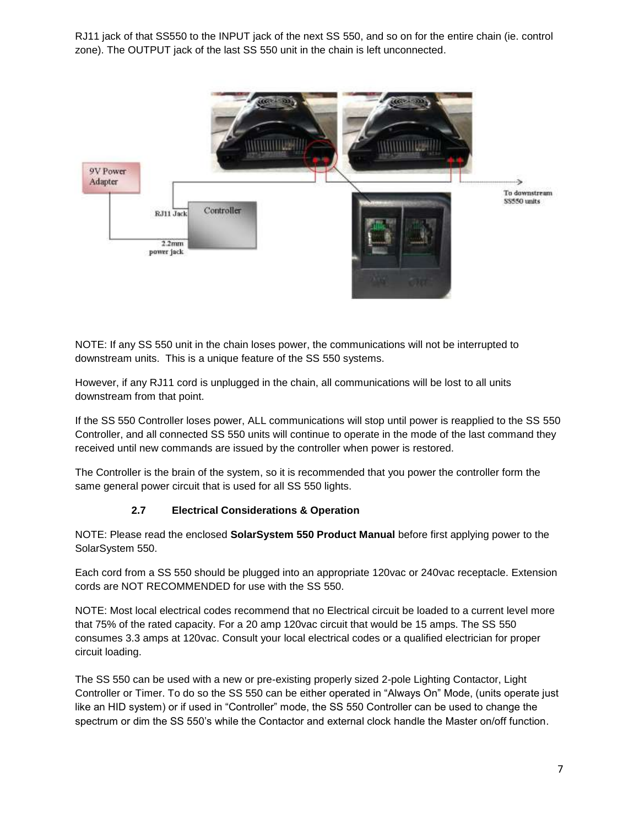RJ11 jack of that SS550 to the INPUT jack of the next SS 550, and so on for the entire chain (ie. control zone). The OUTPUT jack of the last SS 550 unit in the chain is left unconnected.



NOTE: If any SS 550 unit in the chain loses power, the communications will not be interrupted to downstream units. This is a unique feature of the SS 550 systems.

However, if any RJ11 cord is unplugged in the chain, all communications will be lost to all units downstream from that point.

If the SS 550 Controller loses power, ALL communications will stop until power is reapplied to the SS 550 Controller, and all connected SS 550 units will continue to operate in the mode of the last command they received until new commands are issued by the controller when power is restored.

The Controller is the brain of the system, so it is recommended that you power the controller form the same general power circuit that is used for all SS 550 lights.

#### **2.7 Electrical Considerations & Operation**

NOTE: Please read the enclosed **SolarSystem 550 Product Manual** before first applying power to the SolarSystem 550.

Each cord from a SS 550 should be plugged into an appropriate 120vac or 240vac receptacle. Extension cords are NOT RECOMMENDED for use with the SS 550.

NOTE: Most local electrical codes recommend that no Electrical circuit be loaded to a current level more that 75% of the rated capacity. For a 20 amp 120vac circuit that would be 15 amps. The SS 550 consumes 3.3 amps at 120vac. Consult your local electrical codes or a qualified electrician for proper circuit loading.

The SS 550 can be used with a new or pre-existing properly sized 2-pole Lighting Contactor, Light Controller or Timer. To do so the SS 550 can be either operated in "Always On" Mode, (units operate just like an HID system) or if used in "Controller" mode, the SS 550 Controller can be used to change the spectrum or dim the SS 550's while the Contactor and external clock handle the Master on/off function.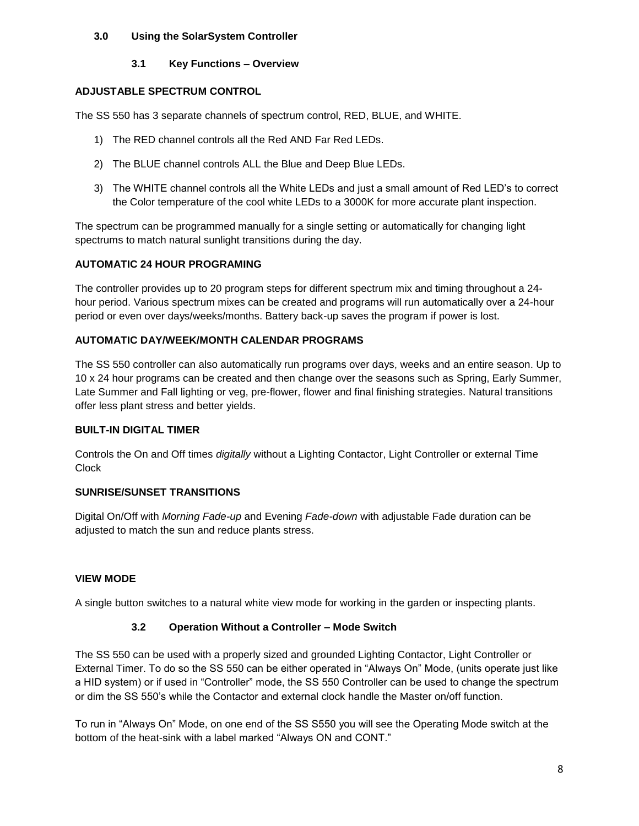#### **3.0 Using the SolarSystem Controller**

## **3.1 Key Functions – Overview**

# **ADJUSTABLE SPECTRUM CONTROL**

The SS 550 has 3 separate channels of spectrum control, RED, BLUE, and WHITE.

- 1) The RED channel controls all the Red AND Far Red LEDs.
- 2) The BLUE channel controls ALL the Blue and Deep Blue LEDs.
- 3) The WHITE channel controls all the White LEDs and just a small amount of Red LED's to correct the Color temperature of the cool white LEDs to a 3000K for more accurate plant inspection.

The spectrum can be programmed manually for a single setting or automatically for changing light spectrums to match natural sunlight transitions during the day.

## **AUTOMATIC 24 HOUR PROGRAMING**

The controller provides up to 20 program steps for different spectrum mix and timing throughout a 24 hour period. Various spectrum mixes can be created and programs will run automatically over a 24-hour period or even over days/weeks/months. Battery back-up saves the program if power is lost.

# **AUTOMATIC DAY/WEEK/MONTH CALENDAR PROGRAMS**

The SS 550 controller can also automatically run programs over days, weeks and an entire season. Up to 10 x 24 hour programs can be created and then change over the seasons such as Spring, Early Summer, Late Summer and Fall lighting or veg, pre-flower, flower and final finishing strategies. Natural transitions offer less plant stress and better yields.

#### **BUILT-IN DIGITAL TIMER**

Controls the On and Off times *digitally* without a Lighting Contactor, Light Controller or external Time **Clock** 

#### **SUNRISE/SUNSET TRANSITIONS**

Digital On/Off with *Morning Fade-up* and Evening *Fade-down* with adjustable Fade duration can be adjusted to match the sun and reduce plants stress.

# **VIEW MODE**

A single button switches to a natural white view mode for working in the garden or inspecting plants.

# **3.2 Operation Without a Controller – Mode Switch**

The SS 550 can be used with a properly sized and grounded Lighting Contactor, Light Controller or External Timer. To do so the SS 550 can be either operated in "Always On" Mode, (units operate just like a HID system) or if used in "Controller" mode, the SS 550 Controller can be used to change the spectrum or dim the SS 550's while the Contactor and external clock handle the Master on/off function.

To run in "Always On" Mode, on one end of the SS S550 you will see the Operating Mode switch at the bottom of the heat-sink with a label marked "Always ON and CONT."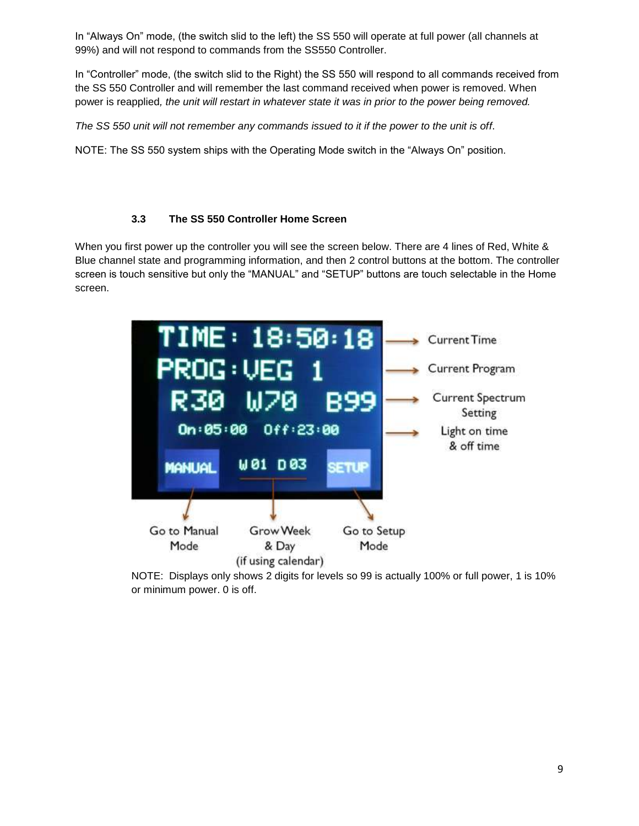In "Always On" mode, (the switch slid to the left) the SS 550 will operate at full power (all channels at 99%) and will not respond to commands from the SS550 Controller.

In "Controller" mode, (the switch slid to the Right) the SS 550 will respond to all commands received from the SS 550 Controller and will remember the last command received when power is removed. When power is reapplied*, the unit will restart in whatever state it was in prior to the power being removed.*

*The SS 550 unit will not remember any commands issued to it if the power to the unit is off*.

NOTE: The SS 550 system ships with the Operating Mode switch in the "Always On" position.

## **3.3 The SS 550 Controller Home Screen**

When you first power up the controller you will see the screen below. There are 4 lines of Red, White & Blue channel state and programming information, and then 2 control buttons at the bottom. The controller screen is touch sensitive but only the "MANUAL" and "SETUP" buttons are touch selectable in the Home screen.



NOTE: Displays only shows 2 digits for levels so 99 is actually 100% or full power, 1 is 10% or minimum power. 0 is off.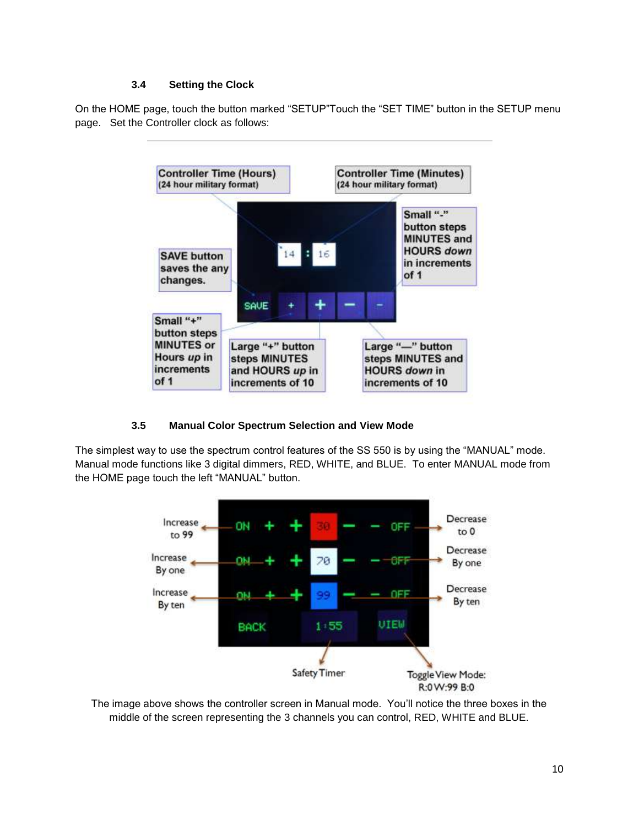#### **3.4 Setting the Clock**

On the HOME page, touch the button marked "SETUP"Touch the "SET TIME" button in the SETUP menu page. Set the Controller clock as follows:



# **3.5 Manual Color Spectrum Selection and View Mode**

The simplest way to use the spectrum control features of the SS 550 is by using the "MANUAL" mode. Manual mode functions like 3 digital dimmers, RED, WHITE, and BLUE. To enter MANUAL mode from the HOME page touch the left "MANUAL" button.



The image above shows the controller screen in Manual mode. You'll notice the three boxes in the middle of the screen representing the 3 channels you can control, RED, WHITE and BLUE.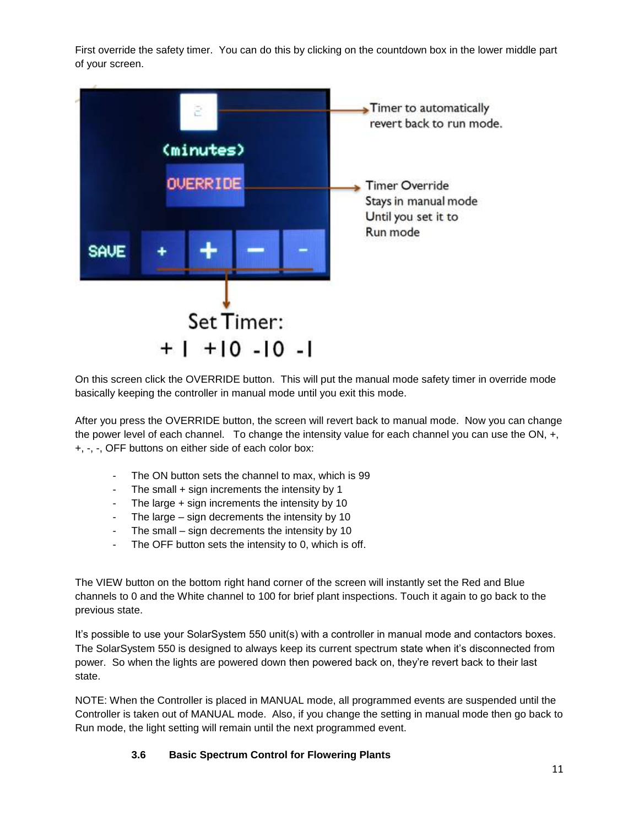First override the safety timer. You can do this by clicking on the countdown box in the lower middle part of your screen.



On this screen click the OVERRIDE button. This will put the manual mode safety timer in override mode basically keeping the controller in manual mode until you exit this mode.

After you press the OVERRIDE button, the screen will revert back to manual mode. Now you can change the power level of each channel. To change the intensity value for each channel you can use the ON, +, +, -, -, OFF buttons on either side of each color box:

- The ON button sets the channel to max, which is 99
- The small  $+$  sign increments the intensity by 1
- The large + sign increments the intensity by 10
- The large  $-$  sign decrements the intensity by 10
- The small sign decrements the intensity by 10
- The OFF button sets the intensity to 0, which is off.

The VIEW button on the bottom right hand corner of the screen will instantly set the Red and Blue channels to 0 and the White channel to 100 for brief plant inspections. Touch it again to go back to the previous state.

It's possible to use your SolarSystem 550 unit(s) with a controller in manual mode and contactors boxes. The SolarSystem 550 is designed to always keep its current spectrum state when it's disconnected from power. So when the lights are powered down then powered back on, they're revert back to their last state.

NOTE: When the Controller is placed in MANUAL mode, all programmed events are suspended until the Controller is taken out of MANUAL mode. Also, if you change the setting in manual mode then go back to Run mode, the light setting will remain until the next programmed event.

#### **3.6 Basic Spectrum Control for Flowering Plants**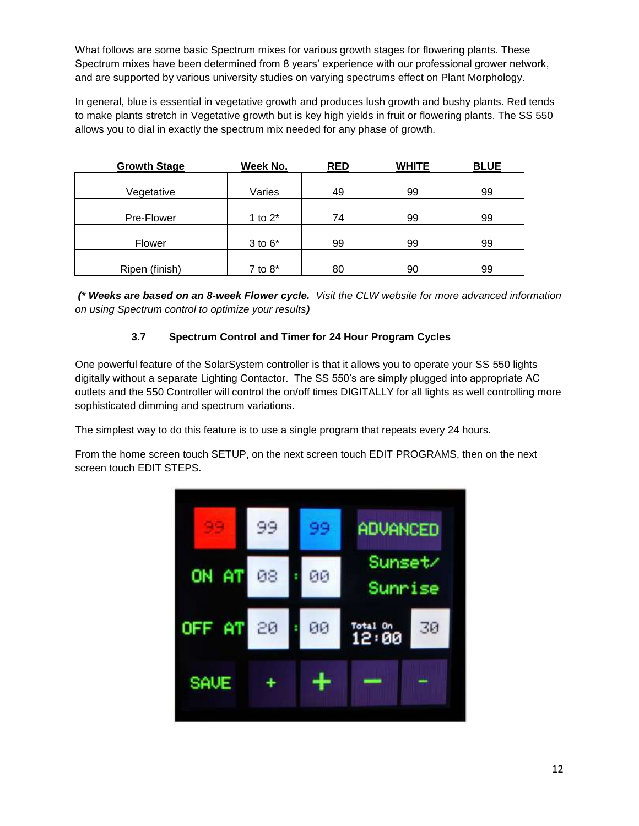What follows are some basic Spectrum mixes for various growth stages for flowering plants. These Spectrum mixes have been determined from 8 years' experience with our professional grower network, and are supported by various university studies on varying spectrums effect on Plant Morphology.

In general, blue is essential in vegetative growth and produces lush growth and bushy plants. Red tends to make plants stretch in Vegetative growth but is key high yields in fruit or flowering plants. The SS 550 allows you to dial in exactly the spectrum mix needed for any phase of growth.

| <b>Growth Stage</b> | Week No.    | <b>RED</b> | <b>WHITE</b> | <b>BLUE</b> |
|---------------------|-------------|------------|--------------|-------------|
|                     |             |            |              |             |
| Vegetative          | Varies      | 49         | 99           | 99          |
|                     |             |            |              |             |
| Pre-Flower          | 1 to $2^*$  | 74         | 99           | 99          |
|                     |             |            |              |             |
| Flower              | $3$ to $6*$ | 99         | 99           | 99          |
|                     |             |            |              |             |
| Ripen (finish)      | 7 to $8^*$  | 80         | 90           | 99          |

*(\* Weeks are based on an 8-week Flower cycle. Visit the CLW website for more advanced information on using Spectrum control to optimize your results)*

# **3.7 Spectrum Control and Timer for 24 Hour Program Cycles**

One powerful feature of the SolarSystem controller is that it allows you to operate your SS 550 lights digitally without a separate Lighting Contactor. The SS 550's are simply plugged into appropriate AC outlets and the 550 Controller will control the on/off times DIGITALLY for all lights as well controlling more sophisticated dimming and spectrum variations.

The simplest way to do this feature is to use a single program that repeats every 24 hours.

From the home screen touch SETUP, on the next screen touch EDIT PROGRAMS, then on the next screen touch EDIT STEPS.

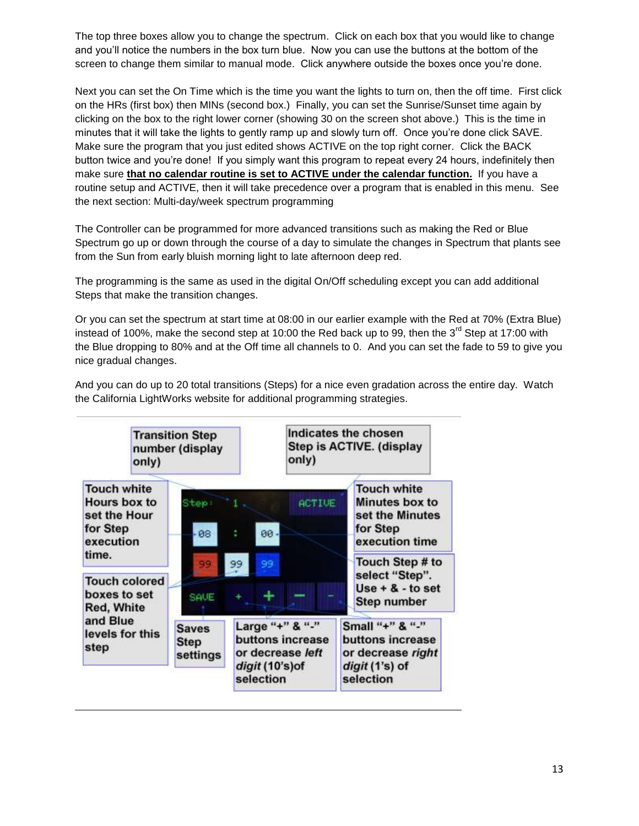The top three boxes allow you to change the spectrum. Click on each box that you would like to change and you'll notice the numbers in the box turn blue. Now you can use the buttons at the bottom of the screen to change them similar to manual mode. Click anywhere outside the boxes once you're done.

Next you can set the On Time which is the time you want the lights to turn on, then the off time. First click on the HRs (first box) then MINs (second box.) Finally, you can set the Sunrise/Sunset time again by clicking on the box to the right lower corner (showing 30 on the screen shot above.) This is the time in minutes that it will take the lights to gently ramp up and slowly turn off. Once you're done click SAVE. Make sure the program that you just edited shows ACTIVE on the top right corner. Click the BACK button twice and you're done! If you simply want this program to repeat every 24 hours, indefinitely then make sure **that no calendar routine is set to ACTIVE under the calendar function.** If you have a routine setup and ACTIVE, then it will take precedence over a program that is enabled in this menu. See the next section: Multi-day/week spectrum programming

The Controller can be programmed for more advanced transitions such as making the Red or Blue Spectrum go up or down through the course of a day to simulate the changes in Spectrum that plants see from the Sun from early bluish morning light to late afternoon deep red.

The programming is the same as used in the digital On/Off scheduling except you can add additional Steps that make the transition changes.

Or you can set the spectrum at start time at 08:00 in our earlier example with the Red at 70% (Extra Blue) instead of 100%, make the second step at 10:00 the Red back up to 99, then the  $3<sup>rd</sup>$  Step at 17:00 with the Blue dropping to 80% and at the Off time all channels to 0. And you can set the fade to 59 to give you nice gradual changes.

And you can do up to 20 total transitions (Steps) for a nice even gradation across the entire day. Watch the California LightWorks website for additional programming strategies.

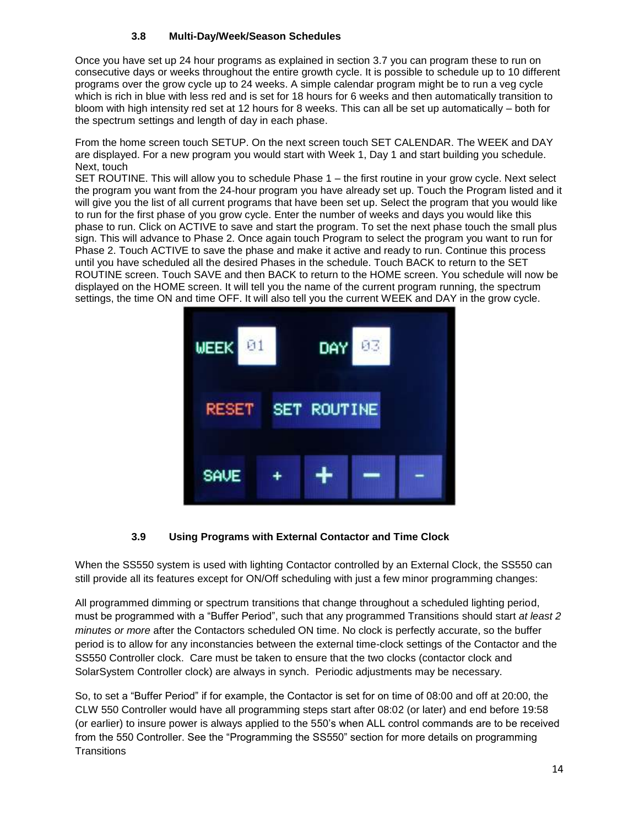#### **3.8 Multi-Day/Week/Season Schedules**

Once you have set up 24 hour programs as explained in section 3.7 you can program these to run on consecutive days or weeks throughout the entire growth cycle. It is possible to schedule up to 10 different programs over the grow cycle up to 24 weeks. A simple calendar program might be to run a veg cycle which is rich in blue with less red and is set for 18 hours for 6 weeks and then automatically transition to bloom with high intensity red set at 12 hours for 8 weeks. This can all be set up automatically – both for the spectrum settings and length of day in each phase.

From the home screen touch SETUP. On the next screen touch SET CALENDAR. The WEEK and DAY are displayed. For a new program you would start with Week 1, Day 1 and start building you schedule. Next, touch

SET ROUTINE. This will allow you to schedule Phase 1 – the first routine in your grow cycle. Next select the program you want from the 24-hour program you have already set up. Touch the Program listed and it will give you the list of all current programs that have been set up. Select the program that you would like to run for the first phase of you grow cycle. Enter the number of weeks and days you would like this phase to run. Click on ACTIVE to save and start the program. To set the next phase touch the small plus sign. This will advance to Phase 2. Once again touch Program to select the program you want to run for Phase 2. Touch ACTIVE to save the phase and make it active and ready to run. Continue this process until you have scheduled all the desired Phases in the schedule. Touch BACK to return to the SET ROUTINE screen. Touch SAVE and then BACK to return to the HOME screen. You schedule will now be displayed on the HOME screen. It will tell you the name of the current program running, the spectrum settings, the time ON and time OFF. It will also tell you the current WEEK and DAY in the grow cycle.



# **3.9 Using Programs with External Contactor and Time Clock**

When the SS550 system is used with lighting Contactor controlled by an External Clock, the SS550 can still provide all its features except for ON/Off scheduling with just a few minor programming changes:

All programmed dimming or spectrum transitions that change throughout a scheduled lighting period, must be programmed with a "Buffer Period", such that any programmed Transitions should start *at least 2 minutes or more* after the Contactors scheduled ON time. No clock is perfectly accurate, so the buffer period is to allow for any inconstancies between the external time-clock settings of the Contactor and the SS550 Controller clock. Care must be taken to ensure that the two clocks (contactor clock and SolarSystem Controller clock) are always in synch. Periodic adjustments may be necessary.

So, to set a "Buffer Period" if for example, the Contactor is set for on time of 08:00 and off at 20:00, the CLW 550 Controller would have all programming steps start after 08:02 (or later) and end before 19:58 (or earlier) to insure power is always applied to the 550's when ALL control commands are to be received from the 550 Controller. See the "Programming the SS550" section for more details on programming **Transitions**